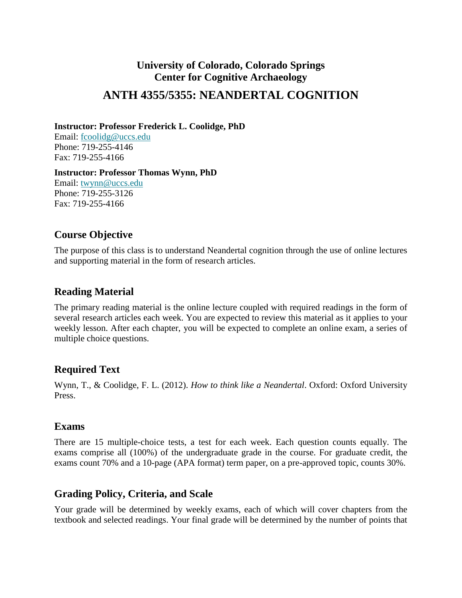# **University of Colorado, Colorado Springs Center for Cognitive Archaeology ANTH 4355/5355: NEANDERTAL COGNITION**

**Instructor: Professor Frederick L. Coolidge, PhD**

Email: [fcoolidg@uccs.edu](mailto:fcoolidg@uccs.edu) Phone: 719-255-4146 Fax: 719-255-4166

**Instructor: Professor Thomas Wynn, PhD** Email: [twynn@uccs.edu](mailto:twynn@uccs.edu) Phone: 719-255-3126 Fax: 719-255-4166

#### **Course Objective**

The purpose of this class is to understand Neandertal cognition through the use of online lectures and supporting material in the form of research articles.

# **Reading Material**

The primary reading material is the online lecture coupled with required readings in the form of several research articles each week. You are expected to review this material as it applies to your weekly lesson. After each chapter, you will be expected to complete an online exam, a series of multiple choice questions.

## **Required Text**

Wynn, T., & Coolidge, F. L. (2012). *How to think like a [Neandertal](http://www.amazon.com/How-To-Think-Like-Neandertal/dp/0199742820)*. Oxford: Oxford University Press.

#### **Exams**

There are 15 multiple-choice tests, a test for each week. Each question counts equally. The exams comprise all (100%) of the undergraduate grade in the course. For graduate credit, the exams count 70% and a 10-page (APA format) term paper, on a pre-approved topic, counts 30%.

## **Grading Policy, Criteria, and Scale**

Your grade will be determined by weekly exams, each of which will cover chapters from the textbook and selected readings. Your final grade will be determined by the number of points that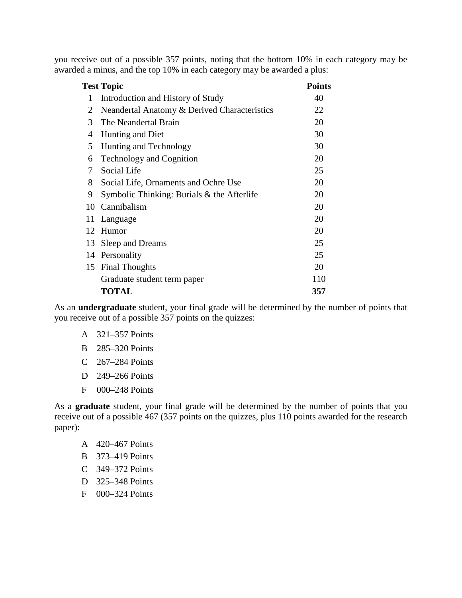you receive out of a possible 357 points, noting that the bottom 10% in each category may be awarded a minus, and the top 10% in each category may be awarded a plus:

|    | <b>Test Topic</b>                            | <b>Points</b> |
|----|----------------------------------------------|---------------|
| 1  | Introduction and History of Study            | 40            |
| 2  | Neandertal Anatomy & Derived Characteristics | 22            |
| 3  | The Neandertal Brain                         | 20            |
| 4  | Hunting and Diet                             | 30            |
| 5  | Hunting and Technology                       | 30            |
| 6  | <b>Technology and Cognition</b>              | 20            |
| 7  | Social Life                                  | 25            |
| 8  | Social Life, Ornaments and Ochre Use         | 20            |
| 9  | Symbolic Thinking: Burials $&$ the Afterlife | 20            |
| 10 | Cannibalism                                  | 20            |
| 11 | Language                                     | 20            |
|    | 12 Humor                                     | 20            |
| 13 | Sleep and Dreams                             | 25            |
| 14 | Personality                                  | 25            |
| 15 | <b>Final Thoughts</b>                        | 20            |
|    | Graduate student term paper                  | 110           |
|    | <b>TOTAL</b>                                 | 357           |

As an **undergraduate** student, your final grade will be determined by the number of points that you receive out of a possible 357 points on the quizzes:

- A 321–357 Points
- B 285–320 Points
- C 267–284 Points
- D 249–266 Points
- F 000–248 Points

As a **graduate** student, your final grade will be determined by the number of points that you receive out of a possible 467 (357 points on the quizzes, plus 110 points awarded for the research paper):

- A 420–467 Points
- B 373–419 Points
- C 349–372 Points
- D 325–348 Points
- F 000–324 Points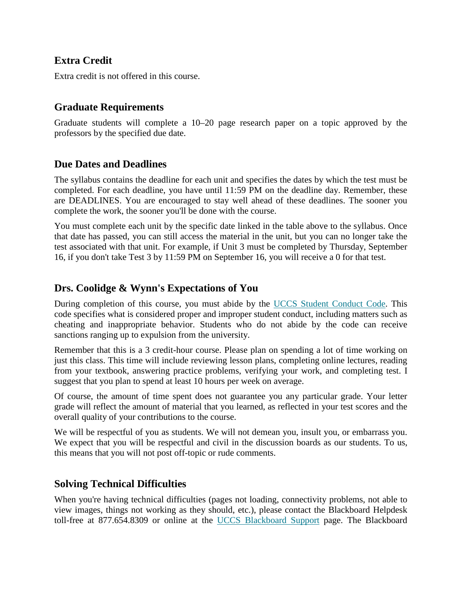## **Extra Credit**

Extra credit is not offered in this course.

#### **Graduate Requirements**

Graduate students will complete a 10–20 page research paper on a topic approved by the professors by the specified due date.

#### **Due Dates and Deadlines**

The syllabus contains the deadline for each unit and specifies the dates by which the test must be completed. For each deadline, you have until 11:59 PM on the deadline day. Remember, these are DEADLINES. You are encouraged to stay well ahead of these deadlines. The sooner you complete the work, the sooner you'll be done with the course.

You must complete each unit by the specific date linked in the table above to the syllabus. Once that date has passed, you can still access the material in the unit, but you can no longer take the test associated with that unit. For example, if Unit 3 must be completed by Thursday, September 16, if you don't take Test 3 by 11:59 PM on September 16, you will receive a 0 for that test.

## **Drs. Coolidge & Wynn's Expectations of You**

During completion of this course, you must abide by the UCCS Student [Conduct](http://www.uccs.edu/oja/student-conduct/student-code-of-conduct.html) Code. This code specifies what is considered proper and improper student conduct, including matters such as cheating and inappropriate behavior. Students who do not abide by the code can receive sanctions ranging up to expulsion from the university.

Remember that this is a 3 credit-hour course. Please plan on spending a lot of time working on just this class. This time will include reviewing lesson plans, completing online lectures, reading from your textbook, answering practice problems, verifying your work, and completing test. I suggest that you plan to spend at least 10 hours per week on average.

Of course, the amount of time spent does not guarantee you any particular grade. Your letter grade will reflect the amount of material that you learned, as reflected in your test scores and the overall quality of your contributions to the course.

We will be respectful of you as students. We will not demean you, insult you, or embarrass you. We expect that you will be respectful and civil in the discussion boards as our students. To us, this means that you will not post off-topic or rude comments.

## **Solving Technical Difficulties**

When you're having technical difficulties (pages not loading, connectivity problems, not able to view images, things not working as they should, etc.), please contact the Blackboard Helpdesk toll-free at 877.654.8309 or online at the UCCS [Blackboard](http://d2.parature.com/ics/support/default.asp?deptID=8232) Support page. The Blackboard